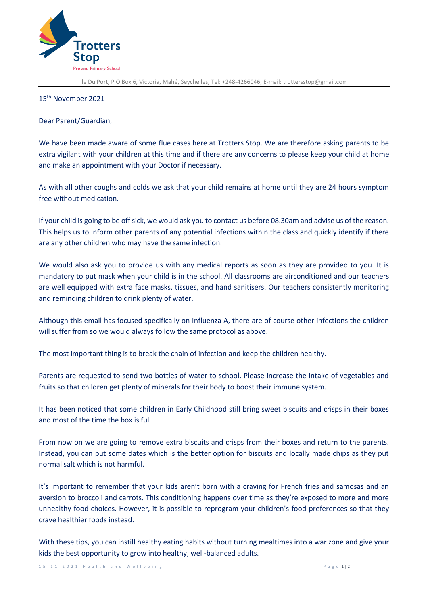

Ile Du Port, P O Box 6, Victoria, Mahé, Seychelles, Tel: +248-4266046; E-mail[: trottersstop@gmail.com](mailto:trottersstop@gmail.com)

## 15th November 2021

Dear Parent/Guardian,

We have been made aware of some flue cases here at Trotters Stop. We are therefore asking parents to be extra vigilant with your children at this time and if there are any concerns to please keep your child at home and make an appointment with your Doctor if necessary.

As with all other coughs and colds we ask that your child remains at home until they are 24 hours symptom free without medication.

If your child is going to be off sick, we would ask you to contact us before 08.30am and advise us of the reason. This helps us to inform other parents of any potential infections within the class and quickly identify if there are any other children who may have the same infection.

We would also ask you to provide us with any medical reports as soon as they are provided to you. It is mandatory to put mask when your child is in the school. All classrooms are airconditioned and our teachers are well equipped with extra face masks, tissues, and hand sanitisers. Our teachers consistently monitoring and reminding children to drink plenty of water.

Although this email has focused specifically on Influenza A, there are of course other infections the children will suffer from so we would always follow the same protocol as above.

The most important thing is to break the chain of infection and keep the children healthy.

Parents are requested to send two bottles of water to school. Please increase the intake of vegetables and fruits so that children get plenty of minerals for their body to boost their immune system.

It has been noticed that some children in Early Childhood still bring sweet biscuits and crisps in their boxes and most of the time the box is full.

From now on we are going to remove extra biscuits and crisps from their boxes and return to the parents. Instead, you can put some dates which is the better option for biscuits and locally made chips as they put normal salt which is not harmful.

It's important to remember that your kids aren't born with a craving for French fries and samosas and an aversion to broccoli and carrots. This conditioning happens over time as they're exposed to more and more unhealthy food choices. However, it is possible to reprogram your children's food preferences so that they crave healthier foods instead.

With these tips, you can instill healthy eating habits without turning mealtimes into a war zone and give your kids the best opportunity to grow into healthy, well-balanced adults.